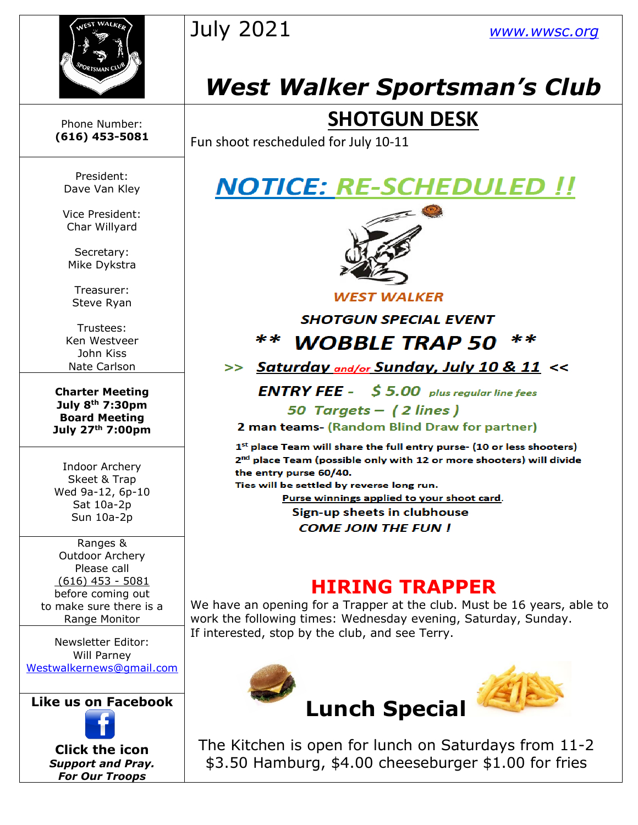



# *West Walker Sportsman's Club*

### **SHOTGUN DESK**

Fun shoot rescheduled for July 10-11

President: Dave Van Kley

Phone Number: **(616) 453-5081**

Vice President: Char Willyard

Secretary: Mike Dykstra

Treasurer: Steve Ryan

Trustees: Ken Westveer John Kiss Nate Carlson

**Charter Meeting July 8th 7:30pm Board Meeting July 27th 7:00pm**

Indoor Archery Skeet & Trap Wed 9a-12, 6p-10 Sat 10a-2p Sun 10a-2p

Ranges & Outdoor Archery Please call (616) 453 - 5081 before coming out to make sure there is a Range Monitor

Newsletter Editor: Will Parney [Westwalkernews@gmail.com](mailto:Westwalkernews@gmail.com)

**Like us [on Fa](https://www.facebook.com/WestWalkerSportsmansClub/)cebook**



**Click [the](http://commons.wikimedia.org/wiki/file:facebook_shiny_icon.svg) icon** *Suppo[rt an](http://commons.wikimedia.org/wiki/file:facebook_shiny_icon.svg)d Pray. For O[ur](http://commons.wikimedia.org/wiki/file:facebook_shiny_icon.svg) Troops*

### **NOTICE: RE-SCHEDULED !!**



**WEST WALKER** 

**SHOTGUN SPECIAL EVENT** 

\*\* **WOBBLE TRAP 50** 

>> Saturday and/or Sunday, July 10 & 11 <<

**ENTRY FEE** -  $$5.00$  plus regular line fees 50 Targets - (2 lines)

2 man teams- (Random Blind Draw for partner)

 $1<sup>st</sup>$  place Team will share the full entry purse- (10 or less shooters) 2<sup>nd</sup> place Team (possible only with 12 or more shooters) will divide the entry purse 60/40.

Ties will be settled by reverse long run.

Purse winnings applied to your shoot card. Sign-up sheets in clubhouse

**COME JOIN THE FUN!** 

#### **HIRING TRAPPER**

We have an opening for a Trapper at the club. Must be 16 years, able to work the following times: Wednesday evening, Saturday, Sunday. If interested, stop by the club, and see Terry.



The Kitchen is open for lunch on Saturdays from 11-2 \$3.50 Ha[mbu](https://creativecommons.org/licenses/by-sa/3.0/)rg, \$4.00 cheeseburger \$1.00 for fries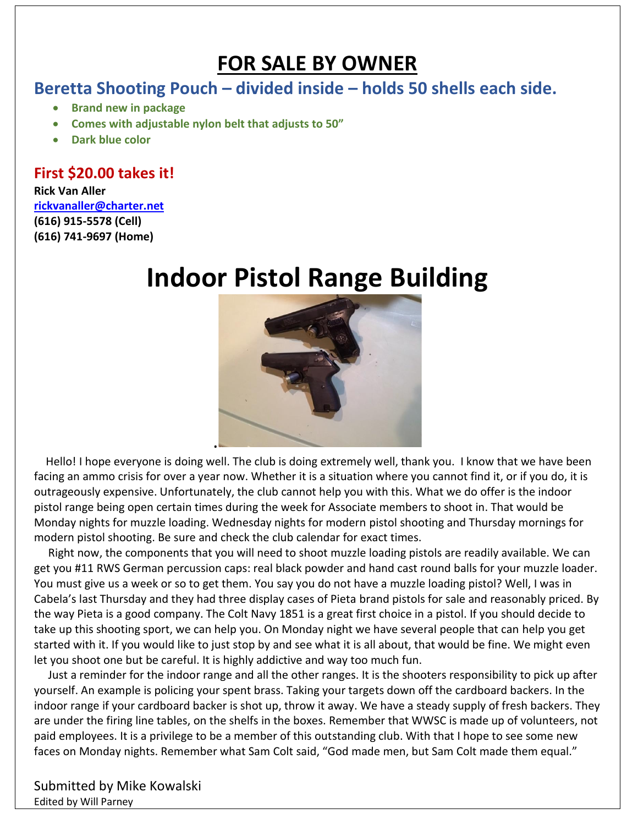### **FOR SALE BY OWNER**

#### **Beretta Shooting Pouch – divided inside – holds 50 shells each side.**

- **Brand new in package**
- **Comes with adjustable nylon belt that adjusts to 50"**
- **Dark blue color**

#### **First \$20.00 takes it!**

#### **Rick Van Aller [rickvanaller@charter.net](mailto:rickvanaller@charter.net) (616) 915-5578 (Cell) (616) 741-9697 (Home)**

# **Indoor Pistol Range Building**



 Hello! I hope everyone is doing well. The club is doing extremely well, thank you. I know that we have been facing an ammo crisis for over a year now. Whether it is a situation where you cannot find it, or if you do, it is outrageously expensive. Unfortunately, the club cannot help you with this. What we do offer is the indoor pistol range being open certain times during the week for Associate members to shoot in. That would be Monday nights for muzzle loading. Wednesday nights for modern pistol shooting and Thursday mornings for modern pistol shooting. Be sure and check the club calendar for exact times.

 Right now, the components that you will need to shoot muzzle loading pistols are readily available. We can get you #11 RWS German percussion caps: real black powder and hand cast round balls for your muzzle loader. You must give us a week or so to get them. You say you do not have a muzzle loading pistol? Well, I was in Cabela's last Thursday and they had three display cases of Pieta brand pistols for sale and reasonably priced. By the way Pieta is a good company. The Colt Navy 1851 is a great first choice in a pistol. If you should decide to take up this shooting sport, we can help you. On Monday night we have several people that can help you get started with it. If you would like to just stop by and see what it is all about, that would be fine. We might even let you shoot one but be careful. It is highly addictive and way too much fun.

 Just a reminder for the indoor range and all the other ranges. It is the shooters responsibility to pick up after yourself. An example is policing your spent brass. Taking your targets down off the cardboard backers. In the indoor range if your cardboard backer is shot up, throw it away. We have a steady supply of fresh backers. They are under the firing line tables, on the shelfs in the boxes. Remember that WWSC is made up of volunteers, not paid employees. It is a privilege to be a member of this outstanding club. With that I hope to see some new faces on Monday nights. Remember what Sam Colt said, "God made men, but Sam Colt made them equal."

Submitted by Mike Kowalski Edited by Will Parney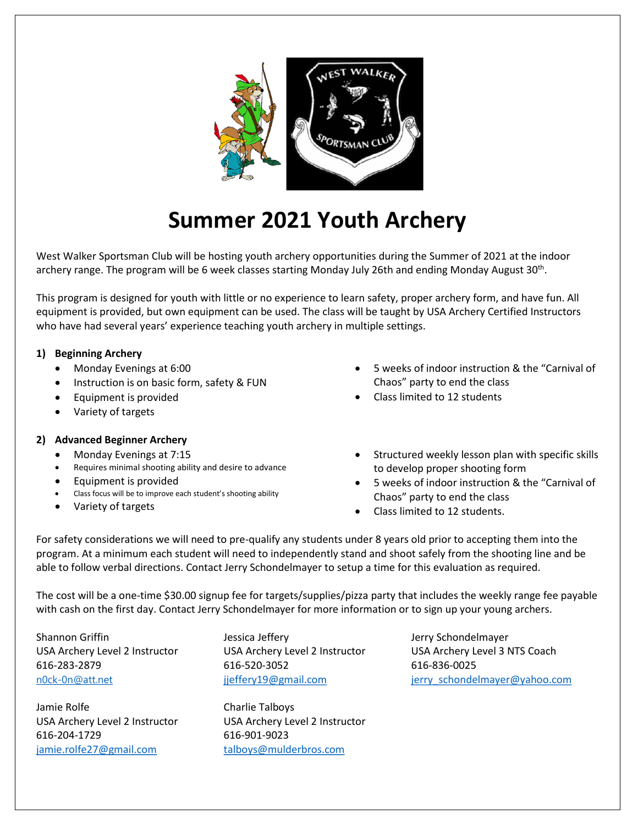

## **Summer 2021 Youth Archery**

West Walker Sportsman Club will be hosting youth archery opportunities during the Summer of 2021 at the indoor archery range. The program will be 6 week classes starting Monday July 26th and ending Monday August 30<sup>th</sup>.

This program is designed for youth with little or no experience to learn safety, proper archery form, and have fun. All equipment is provided, but own equipment can be used. The class will be taught by USA Archery Certified Instructors who have had several years' experience teaching youth archery in multiple settings.

#### **1) Beginning Archery**

- •Monday Evenings at 6:00
- •Instruction is on basic form, safety & FUN
- Equipment is provided
- •Variety of targets

#### **2) Advanced Beginner Archery**

- •Monday Evenings at 7:15
- •Requires minimal shooting ability and desire to advance
- •Equipment is provided
- •Class focus will be to improve each student's shooting ability
- •Variety of targets
- • 5 weeks of indoor instruction & the "Carnival of Chaos" party to end the class
- •Class limited to 12 students
- • Structured weekly lesson plan with specific skills to develop proper shooting form
- • 5 weeks of indoor instruction & the "Carnival of Chaos" party to end the class
- Class limited to 12 students.

For safety considerations we will need to pre-qualify any students under 8 years old prior to accepting them into the program. At a minimum each student will need to independently stand and shoot safely from the shooting line and be able to follow verbal directions. Contact Jerry Schondelmayer to setup a time for this evaluation as required.

The cost will be a one-time \$30.00 signup fee for targets/supplies/pizza party that includes the weekly range fee payable with cash on the first day. Contact Jerry Schondelmayer for more information or to sign up your young archers.

Shannon Griffin The Shannon Griffin Jessica Jeffery The Muslim Jerry Schondelmayer 616-283-2879 616-520-3052 616-836-0025

Jamie Rolfe Charlie Talboys USA Archery Level 2 Instructor USA Archery Level 2 Instructor 616-204-1729 616-901-9023 jamie.rolfe27@gmail.com talboys@mulderbros.com

USA Archery Level 2 Instructor USA Archery Level 2 Instructor USA Archery Level 3 NTS Coach n0ck-0n@att.net industrial ijeffery19@gmail.com is igrivated industrial industrial industrial industrial industrial industrial industrial industrial industrial industrial industrial industrial industrial industrial industr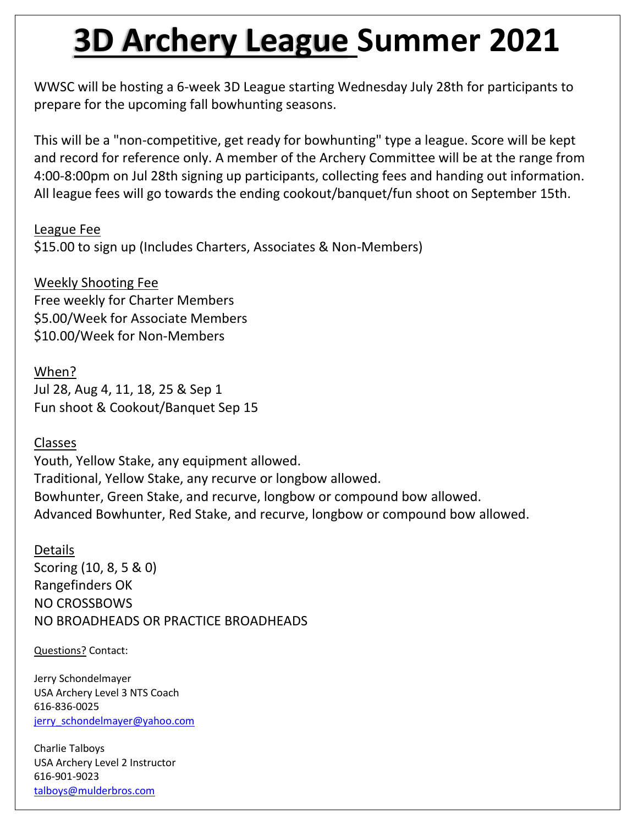# **3D Archery League Summer 2021**

WWSC will be hosting a 6-week 3D League starting Wednesday July 28th for participants to prepare for the upcoming fall bowhunting seasons.

This will be a "non-competitive, get ready for bowhunting" type a league. Score will be kept and record for reference only. A member of the Archery Committee will be at the range from 4:00-8:00pm on Jul 28th signing up participants, collecting fees and handing out information. All league fees will go towards the ending cookout/banquet/fun shoot on September 15th.

League Fee

\$15.00 to sign up (Includes Charters, Associates & Non-Members)

Weekly Shooting Fee Free weekly for Charter Members \$5.00/Week for Associate Members \$10.00/Week for Non-Members

When? Jul 28, Aug 4, 11, 18, 25 & Sep 1 Fun shoot & Cookout/Banquet Sep 15

Classes

Youth, Yellow Stake, any equipment allowed. Traditional, Yellow Stake, any recurve or longbow allowed. Bowhunter, Green Stake, and recurve, longbow or compound bow allowed. Advanced Bowhunter, Red Stake, and recurve, longbow or compound bow allowed.

Details Scoring (10, 8, 5 & 0) Rangefinders OK NO CROSSBOWS NO BROADHEADS OR PRACTICE BROADHEADS

Questions? Contact:

Jerry Schondelmayer USA Archery Level 3 NTS Coach 616-836-0025 [jerry\\_schondelmayer@yahoo.com](mailto:jerry_schondelmayer@yahoo.com)

Charlie Talboys USA Archery Level 2 Instructor 616-901-9023 [talboys@mulderbros.com](mailto:talboys@mulderbros.com)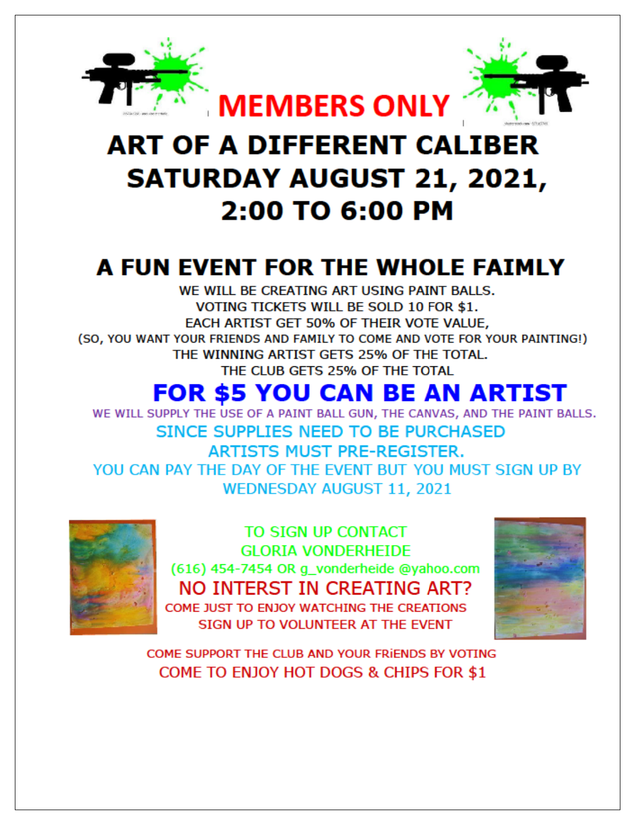

# **ART OF A DIFFERENT CALIBER SATURDAY AUGUST 21, 2021,** 2:00 TO 6:00 PM

# A FUN EVENT FOR THE WHOLE FAIMLY

WE WILL BE CREATING ART USING PAINT BALLS. VOTING TICKETS WILL BE SOLD 10 FOR \$1. EACH ARTIST GET 50% OF THEIR VOTE VALUE, (SO, YOU WANT YOUR FRIENDS AND FAMILY TO COME AND VOTE FOR YOUR PAINTING!) THE WINNING ARTIST GETS 25% OF THE TOTAL. THE CLUB GETS 25% OF THE TOTAL

# **FOR \$5 YOU CAN BE AN ARTIST**

WE WILL SUPPLY THE USE OF A PAINT BALL GUN, THE CANVAS, AND THE PAINT BALLS. SINCE SUPPLIES NEED TO BE PURCHASED **ARTISTS MUST PRE-REGISTER.** YOU CAN PAY THE DAY OF THE EVENT BUT YOU MUST SIGN UP BY **WEDNESDAY AUGUST 11, 2021** 



TO SIGN UP CONTACT **GLORIA VONDERHEIDE** (616) 454-7454 OR g\_vonderheide @yahoo.com NO INTERST IN CREATING ART? COME JUST TO ENJOY WATCHING THE CREATIONS SIGN UP TO VOLUNTEER AT THE EVENT



COME SUPPORT THE CLUB AND YOUR FRIENDS BY VOTING COME TO ENJOY HOT DOGS & CHIPS FOR \$1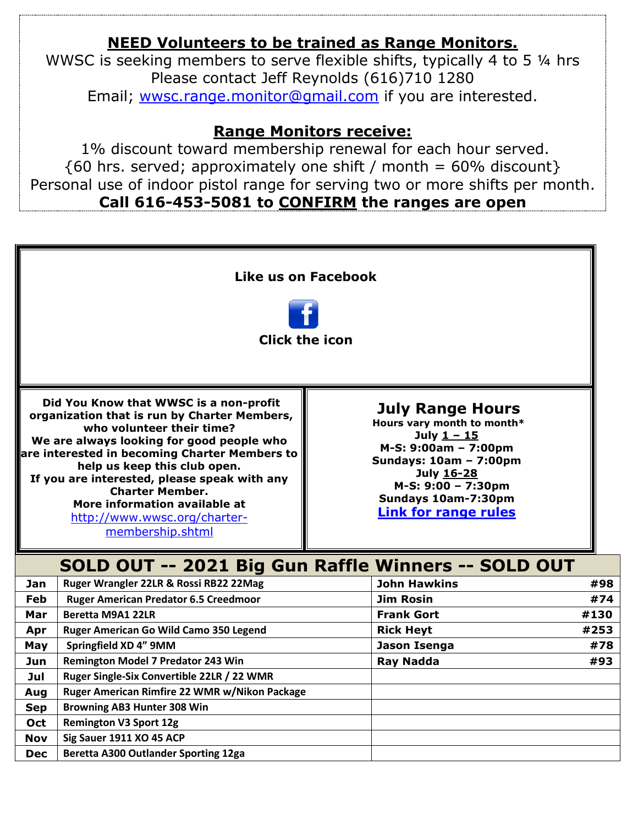#### **NEED Volunteers to be trained as Range Monitors.**

WWSC is seeking members to serve flexible shifts, typically 4 to 5 ¼ hrs Please contact Jeff Reynolds (616)710 1280 Email; [wwsc.range.monitor@gmail.com](mailto:wwsc.range.monitor@gmail.com) if you are interested.

#### **Range Monitors receive:**

1% discount toward membership renewal for each hour served.  ${60 \text{ hrs. served}}$ ; approximately one shift / month = 60% discount} Personal use of indoor pistol range for serving two or more shifts per month. **Call 616-453-5081 to CONFIRM the ranges are open**